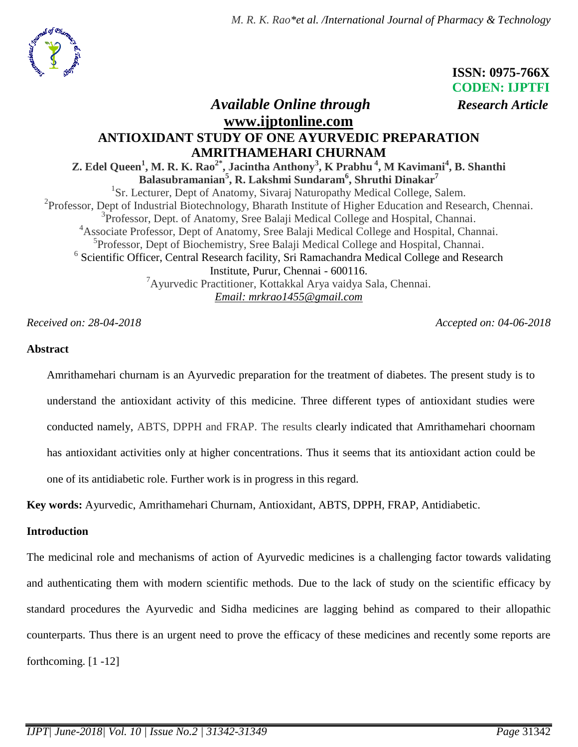*M. R. K. Rao\*et al. /International Journal of Pharmacy & Technology*



 **ISSN: 0975-766X CODEN: IJPTFI**  *Available Online through Research Article*

# **[www.ijptonline.com](http://www.ijptonline.com/) ANTIOXIDANT STUDY OF ONE AYURVEDIC PREPARATION AMRITHAMEHARI CHURNAM**

**Z. Edel Queen<sup>1</sup> , M. R. K. Rao2\*, Jacintha Anthony<sup>3</sup> , K Prabhu <sup>4</sup> , M Kavimani<sup>4</sup> , B. Shanthi Balasubramanian<sup>5</sup> , R. Lakshmi Sundaram<sup>6</sup> , Shruthi Dinakar<sup>7</sup>** <sup>1</sup>Sr. Lecturer, Dept of Anatomy, Sivaraj Naturopathy Medical College, Salem. <sup>2</sup>Professor, Dept of Industrial Biotechnology, Bharath Institute of Higher Education and Research, Chennai. <sup>3</sup>Professor, Dept. of Anatomy, Sree Balaji Medical College and Hospital, Channai. <sup>4</sup>Associate Professor, Dept of Anatomy, Sree Balaji Medical College and Hospital, Channai. 5 Professor, Dept of Biochemistry, Sree Balaji Medical College and Hospital, Channai. <sup>6</sup> Scientific Officer, Central Research facility, Sri Ramachandra Medical College and Research Institute, Purur, Chennai - 600116. <sup>7</sup>Ayurvedic Practitioner, Kottakkal Arya vaidya Sala, Chennai. *Email: mrkrao1455@gmail.com*

*Received on: 28-04-2018 Accepted on: 04-06-2018*

#### **Abstract**

Amrithamehari churnam is an Ayurvedic preparation for the treatment of diabetes. The present study is to understand the antioxidant activity of this medicine. Three different types of antioxidant studies were conducted namely, ABTS, DPPH and FRAP. The results clearly indicated that Amrithamehari choornam has antioxidant activities only at higher concentrations. Thus it seems that its antioxidant action could be one of its antidiabetic role. Further work is in progress in this regard.

**Key words:** Ayurvedic, Amrithamehari Churnam, Antioxidant, ABTS, DPPH, FRAP, Antidiabetic.

#### **Introduction**

The medicinal role and mechanisms of action of Ayurvedic medicines is a challenging factor towards validating and authenticating them with modern scientific methods. Due to the lack of study on the scientific efficacy by standard procedures the Ayurvedic and Sidha medicines are lagging behind as compared to their allopathic counterparts. Thus there is an urgent need to prove the efficacy of these medicines and recently some reports are forthcoming. [1 -12]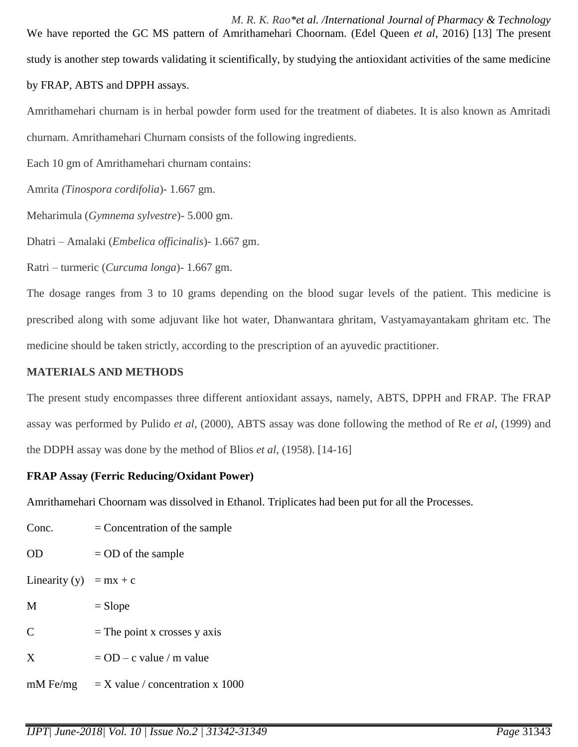*M. R. K. Rao\*et al. /International Journal of Pharmacy & Technology* We have reported the GC MS pattern of Amrithamehari Choornam. (Edel Queen *et al*, 2016) [13] The present study is another step towards validating it scientifically, by studying the antioxidant activities of the same medicine by FRAP, ABTS and DPPH assays.

Amrithamehari churnam is in herbal powder form used for the treatment of diabetes. It is also known as Amritadi churnam. Amrithamehari Churnam consists of the following ingredients.

Each 10 gm of Amrithamehari churnam contains:

Amrita *(Tinospora cordifolia*)- 1.667 gm.

Meharimula (*Gymnema sylvestre*)- 5.000 gm.

Dhatri – Amalaki (*Embelica officinalis*)- 1.667 gm.

Ratri – turmeric (*Curcuma longa*)- 1.667 gm.

The dosage ranges from 3 to 10 grams depending on the blood sugar levels of the patient. This medicine is prescribed along with some adjuvant like hot water, Dhanwantara ghritam, Vastyamayantakam ghritam etc. The medicine should be taken strictly, according to the prescription of an ayuvedic practitioner.

## **MATERIALS AND METHODS**

The present study encompasses three different antioxidant assays, namely, ABTS, DPPH and FRAP. The FRAP assay was performed by Pulido *et al*, (2000), ABTS assay was done following the method of Re *et al*, (1999) and the DDPH assay was done by the method of Blios *et al*, (1958). [14-16]

## **FRAP Assay (Ferric Reducing/Oxidant Power)**

Amrithamehari Choornam was dissolved in Ethanol. Triplicates had been put for all the Processes.

| Conc.                  | $=$ Concentration of the sample |  |  |  |  |  |
|------------------------|---------------------------------|--|--|--|--|--|
| <b>OD</b>              | $=$ OD of the sample            |  |  |  |  |  |
| Linearity (y) = mx + c |                                 |  |  |  |  |  |
| M                      | $=$ Slope                       |  |  |  |  |  |
| $\mathcal{C}$          | $=$ The point x crosses y axis  |  |  |  |  |  |
| $\mathbf{X}$           | $=$ OD – c value / m value      |  |  |  |  |  |
|                        |                                 |  |  |  |  |  |

mM Fe/mg  $= X$  value / concentration x 1000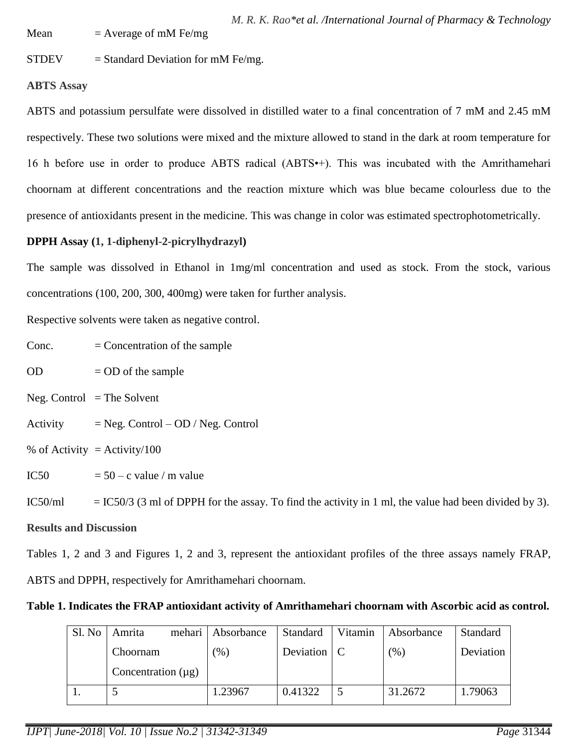Mean  $=$  Average of mM Fe/mg

 $STDEV = Standard Deviation for mM Fe/mg.$ 

## **ABTS Assay**

ABTS and potassium persulfate were dissolved in distilled water to a final concentration of 7 mM and 2.45 mM respectively. These two solutions were mixed and the mixture allowed to stand in the dark at room temperature for 16 h before use in order to produce ABTS radical (ABTS•+). This was incubated with the Amrithamehari choornam at different concentrations and the reaction mixture which was blue became colourless due to the presence of antioxidants present in the medicine. This was change in color was estimated spectrophotometrically.

## **DPPH Assay (1, 1-diphenyl-2-picrylhydrazyl)**

The sample was dissolved in Ethanol in 1mg/ml concentration and used as stock. From the stock, various concentrations (100, 200, 300, 400mg) were taken for further analysis.

Respective solvents were taken as negative control.

 $Cone.$  = Concentration of the sample

 $OD = OD$  of the sample

 $Neg.$  Control  $=$  The Solvent

 $Activity = Neg. Control - OD / Neg. Control$ 

% of Activity  $=$  Activity/100

IC50  $= 50 - c$  value / m value

IC50/ml  $=$  IC50/3 (3 ml of DPPH for the assay. To find the activity in 1 ml, the value had been divided by 3).

## **Results and Discussion**

Tables 1, 2 and 3 and Figures 1, 2 and 3, represent the antioxidant profiles of the three assays namely FRAP, ABTS and DPPH, respectively for Amrithamehari choornam.

## **Table 1. Indicates the FRAP antioxidant activity of Amrithamehari choornam with Ascorbic acid as control.**

| Sl. No | mehari<br>Amrita        | Absorbance | <b>Standard</b>    | Vitamin | Absorbance | <b>Standard</b> |
|--------|-------------------------|------------|--------------------|---------|------------|-----------------|
|        | Choornam                | $(\% )$    | Deviation $\mid$ C |         | (% )       | Deviation       |
|        | Concentration $(\mu g)$ |            |                    |         |            |                 |
|        |                         | 1.23967    | 0.41322            |         | 31.2672    | 1.79063         |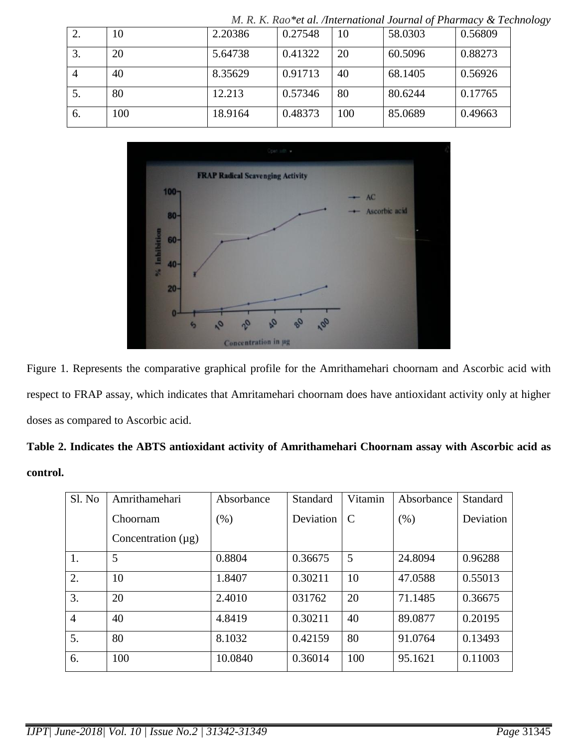|    |     |         |         |     | $m, n, n$ is not complementational Journal of Figureau ( $\alpha$ Fec |         |
|----|-----|---------|---------|-----|-----------------------------------------------------------------------|---------|
|    | 10  | 2.20386 | 0.27548 | 10  | 58.0303                                                               | 0.56809 |
| 3. | 20  | 5.64738 | 0.41322 | 20  | 60.5096                                                               | 0.88273 |
|    | 40  | 8.35629 | 0.91713 | 40  | 68.1405                                                               | 0.56926 |
| 5. | 80  | 12.213  | 0.57346 | 80  | 80.6244                                                               | 0.17765 |
| 6. | 100 | 18.9164 | 0.48373 | 100 | 85.0689                                                               | 0.49663 |

*M. R. K. Rao\*et al. /International Journal of Pharmacy & Technology*



Figure 1. Represents the comparative graphical profile for the Amrithamehari choornam and Ascorbic acid with respect to FRAP assay, which indicates that Amritamehari choornam does have antioxidant activity only at higher doses as compared to Ascorbic acid.

| Table 2. Indicates the ABTS antioxidant activity of Amrithamehari Choornam assay with Ascorbic acid as |  |
|--------------------------------------------------------------------------------------------------------|--|
| control.                                                                                               |  |

| Sl. No         | Amrithamehari           | Absorbance | Standard  | Vitamin       | Absorbance | Standard  |
|----------------|-------------------------|------------|-----------|---------------|------------|-----------|
|                | Choornam                | $(\% )$    | Deviation | $\mathcal{C}$ | (% )       | Deviation |
|                | Concentration $(\mu g)$ |            |           |               |            |           |
| 1.             | 5                       | 0.8804     | 0.36675   | 5             | 24.8094    | 0.96288   |
| 2.             | 10                      | 1.8407     | 0.30211   | 10            | 47.0588    | 0.55013   |
| 3.             | 20                      | 2.4010     | 031762    | 20            | 71.1485    | 0.36675   |
| $\overline{4}$ | 40                      | 4.8419     | 0.30211   | 40            | 89.0877    | 0.20195   |
| 5.             | 80                      | 8.1032     | 0.42159   | 80            | 91.0764    | 0.13493   |
| 6.             | 100                     | 10.0840    | 0.36014   | 100           | 95.1621    | 0.11003   |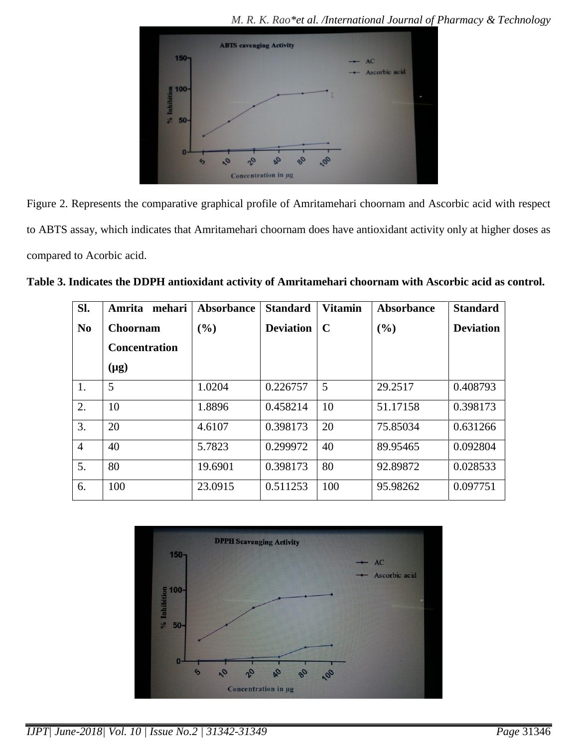*M. R. K. Rao\*et al. /International Journal of Pharmacy & Technology*



Figure 2. Represents the comparative graphical profile of Amritamehari choornam and Ascorbic acid with respect to ABTS assay, which indicates that Amritamehari choornam does have antioxidant activity only at higher doses as compared to Acorbic acid.

|  | Table 3. Indicates the DDPH antioxidant activity of Amritamehari choornam with Ascorbic acid as control. |
|--|----------------------------------------------------------------------------------------------------------|
|--|----------------------------------------------------------------------------------------------------------|

| SI.            | Amrita<br>mehari     | <b>Absorbance</b> | <b>Standard</b>  | <b>Vitamin</b> | Absorbance | <b>Standard</b>  |
|----------------|----------------------|-------------------|------------------|----------------|------------|------------------|
| N <sub>0</sub> | <b>Choornam</b>      | (%)               | <b>Deviation</b> | $\mathbf C$    | (9/0)      | <b>Deviation</b> |
|                | <b>Concentration</b> |                   |                  |                |            |                  |
|                | $(\mu g)$            |                   |                  |                |            |                  |
| 1.             | 5                    | 1.0204            | 0.226757         | 5              | 29.2517    | 0.408793         |
| 2.             | 10                   | 1.8896            | 0.458214         | 10             | 51.17158   | 0.398173         |
| 3.             | 20                   | 4.6107            | 0.398173         | 20             | 75.85034   | 0.631266         |
| $\overline{4}$ | 40                   | 5.7823            | 0.299972         | 40             | 89.95465   | 0.092804         |
| 5.             | 80                   | 19.6901           | 0.398173         | 80             | 92.89872   | 0.028533         |
| 6.             | 100                  | 23.0915           | 0.511253         | 100            | 95.98262   | 0.097751         |



*IJPT| June-2018| Vol. 10 | Issue No.2 | 31342-31349 Page* 31346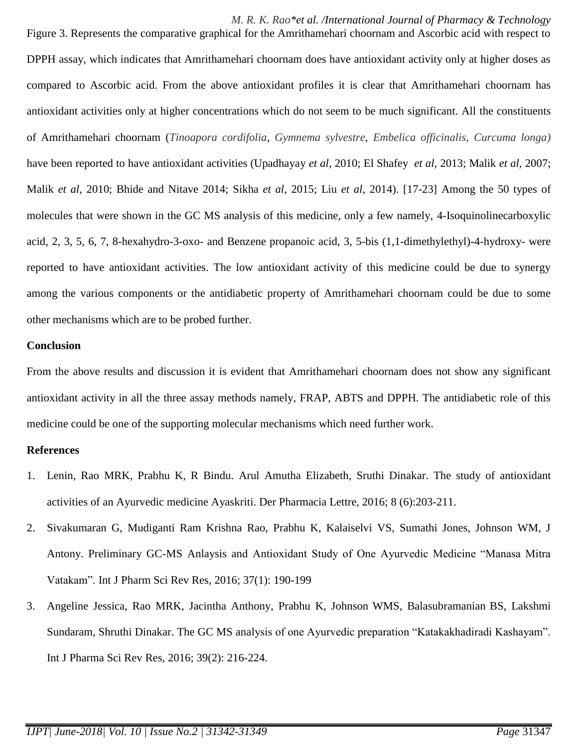*M. R. K. Rao\*et al. /International Journal of Pharmacy & Technology*

Figure 3. Represents the comparative graphical for the Amrithamehari choornam and Ascorbic acid with respect to DPPH assay, which indicates that Amrithamehari choornam does have antioxidant activity only at higher doses as compared to Ascorbic acid. From the above antioxidant profiles it is clear that Amrithamehari choornam has antioxidant activities only at higher concentrations which do not seem to be much significant. All the constituents of Amrithamehari choornam (*Tinoapora cordifolia*, *Gymnema sylvestre*, *Embelica officinalis, Curcuma longa)* have been reported to have antioxidant activities (Upadhayay *et al*, 2010; El Shafey *et al,* 2013; Malik *et al,* 2007; Malik *et al,* 2010; Bhide and Nitave 2014; Sikha *et al*, 2015; Liu *et al,* 2014). [17-23] Among the 50 types of molecules that were shown in the GC MS analysis of this medicine, only a few namely, 4-Isoquinolinecarboxylic acid, 2, 3, 5, 6, 7, 8-hexahydro-3-oxo- and Benzene propanoic acid, 3, 5-bis (1,1-dimethylethyl)-4-hydroxy- were reported to have antioxidant activities. The low antioxidant activity of this medicine could be due to synergy among the various components or the antidiabetic property of Amrithamehari choornam could be due to some other mechanisms which are to be probed further.

#### **Conclusion**

From the above results and discussion it is evident that Amrithamehari choornam does not show any significant antioxidant activity in all the three assay methods namely, FRAP, ABTS and DPPH. The antidiabetic role of this medicine could be one of the supporting molecular mechanisms which need further work.

#### **References**

- 1. Lenin, Rao MRK, Prabhu K, R Bindu. Arul Amutha Elizabeth, Sruthi Dinakar. The study of antioxidant activities of an Ayurvedic medicine Ayaskriti. Der Pharmacia Lettre, 2016; 8 (6):203-211.
- 2. Sivakumaran G, Mudiganti Ram Krishna Rao, Prabhu K, Kalaiselvi VS, Sumathi Jones, Johnson WM, J Antony. Preliminary GC-MS Anlaysis and Antioxidant Study of One Ayurvedic Medicine "Manasa Mitra Vatakam". Int J Pharm Sci Rev Res, 2016; 37(1): 190-199
- 3. Angeline Jessica, Rao MRK, Jacintha Anthony, Prabhu K, Johnson WMS, Balasubramanian BS, Lakshmi Sundaram, Shruthi Dinakar. The GC MS analysis of one Ayurvedic preparation "Katakakhadiradi Kashayam". Int J Pharma Sci Rev Res, 2016; 39(2): 216-224.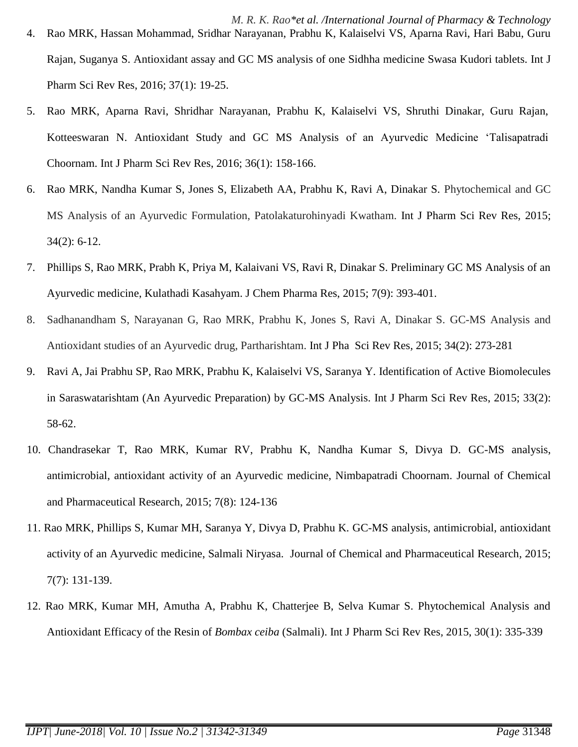- *M. R. K. Rao\*et al. /International Journal of Pharmacy & Technology* 4. Rao MRK, Hassan Mohammad, Sridhar Narayanan, Prabhu K, Kalaiselvi VS, Aparna Ravi, Hari Babu, Guru Rajan, Suganya S. Antioxidant assay and GC MS analysis of one Sidhha medicine Swasa Kudori tablets. Int J Pharm Sci Rev Res, 2016; 37(1): 19-25.
- 5. Rao MRK, Aparna Ravi, Shridhar Narayanan, Prabhu K, Kalaiselvi VS, Shruthi Dinakar, Guru Rajan, Kotteeswaran N. Antioxidant Study and GC MS Analysis of an Ayurvedic Medicine "Talisapatradi Choornam. Int J Pharm Sci Rev Res, 2016; 36(1): 158-166.
- 6. Rao MRK, Nandha Kumar S, Jones S, Elizabeth AA, Prabhu K, Ravi A, Dinakar S. Phytochemical and GC MS Analysis of an Ayurvedic Formulation, Patolakaturohinyadi Kwatham. Int J Pharm Sci Rev Res, 2015; 34(2): 6-12.
- 7. Phillips S, Rao MRK, Prabh K, Priya M, Kalaivani VS, Ravi R, Dinakar S. Preliminary GC MS Analysis of an Ayurvedic medicine, Kulathadi Kasahyam. J Chem Pharma Res, 2015; 7(9): 393-401.
- 8. Sadhanandham S, Narayanan G, Rao MRK, Prabhu K, Jones S, Ravi A, Dinakar S. GC-MS Analysis and Antioxidant studies of an Ayurvedic drug, Partharishtam. Int J Pha Sci Rev Res*,* 2015; 34(2): 273-281
- 9. Ravi A, Jai Prabhu SP, Rao MRK, Prabhu K, Kalaiselvi VS, Saranya Y. Identification of Active Biomolecules in Saraswatarishtam (An Ayurvedic Preparation) by GC-MS Analysis. Int J Pharm Sci Rev Res, 2015; 33(2): 58-62.
- 10. Chandrasekar T, Rao MRK, Kumar RV, Prabhu K, Nandha Kumar S, Divya D. GC-MS analysis, antimicrobial, antioxidant activity of an Ayurvedic medicine, Nimbapatradi Choornam. Journal of Chemical and Pharmaceutical Research, 2015; 7(8): 124-136
- 11. Rao MRK, Phillips S, Kumar MH, Saranya Y, Divya D, Prabhu K. GC-MS analysis, antimicrobial, antioxidant activity of an Ayurvedic medicine, Salmali Niryasa. Journal of Chemical and Pharmaceutical Research*,* 2015; 7(7): 131-139.
- 12. Rao MRK, Kumar MH, Amutha A, Prabhu K, Chatterjee B, Selva Kumar S. Phytochemical Analysis and Antioxidant Efficacy of the Resin of *Bombax ceiba* (Salmali). Int J Pharm Sci Rev Res*,* 2015, 30(1): 335-339